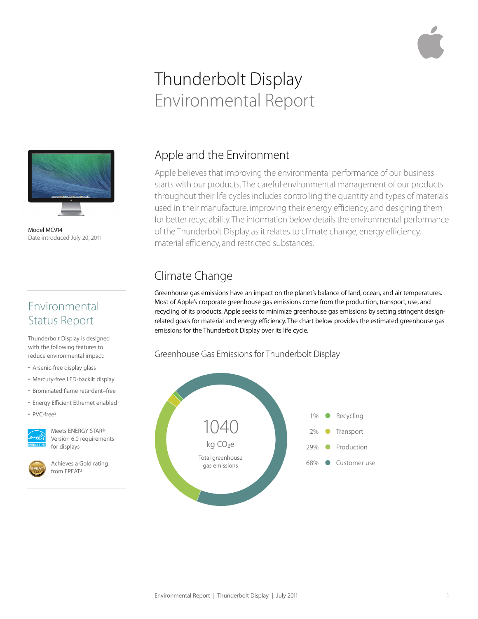# Thunderbolt Display Environmental Report



Model MC914 Date introduced July 20, 2011

### Environmental Status Report

Thunderbolt Display is designed with the following features to reduce environmental impact:

- Arsenic-free display glass
- Mercury-free LED-backlit display
- Brominated flame retardant–free
- Energy Efficient Ethernet enabled
- PVC-free2



Meets ENERGY STAR® Version 6.0 requirements for displays

Achieves a Gold rating from EPEAT3

# Apple and the Environment

Apple believes that improving the environmental performance of our business starts with our products. The careful environmental management of our products throughout their life cycles includes controlling the quantity and types of materials used in their manufacture, improving their energy efficiency, and designing them for better recyclability. The information below details the environmental performance of the Thunderbolt Display as it relates to climate change, energy efficiency, material efficiency, and restricted substances.

# Climate Change

Greenhouse gas emissions have an impact on the planet's balance of land, ocean, and air temperatures. Most of Apple's corporate greenhouse gas emissions come from the production, transport, use, and recycling of its products. Apple seeks to minimize greenhouse gas emissions by setting stringent designrelated goals for material and energy efficiency. The chart below provides the estimated greenhouse gas emissions for the Thunderbolt Display over its life cycle.

#### Greenhouse Gas Emissions for Thunderbolt Display

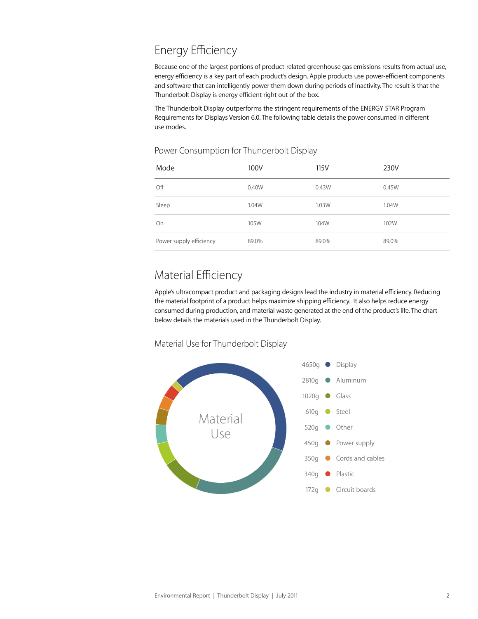# Energy Efficiency

Because one of the largest portions of product-related greenhouse gas emissions results from actual use, energy efficiency is a key part of each product's design. Apple products use power-efficient components and software that can intelligently power them down during periods of inactivity. The result is that the Thunderbolt Display is energy efficient right out of the box.

The Thunderbolt Display outperforms the stringent requirements of the ENERGY STAR Program Requirements for Displays Version 6.0. The following table details the power consumed in different use modes.

#### Power Consumption for Thunderbolt Display

| Mode                    | 100V  | 115V  | 230V  |
|-------------------------|-------|-------|-------|
| Off                     | 0.40W | 0.43W | 0.45W |
| Sleep                   | 1.04W | 1.03W | 1.04W |
| On                      | 105W  | 104W  | 102W  |
| Power supply efficiency | 89.0% | 89.0% | 89.0% |

### Material Efficiency

Apple's ultracompact product and packaging designs lead the industry in material efficiency. Reducing the material footprint of a product helps maximize shipping efficiency. It also helps reduce energy consumed during production, and material waste generated at the end of the product's life. The chart below details the materials used in the Thunderbolt Display.



#### Material Use for Thunderbolt Display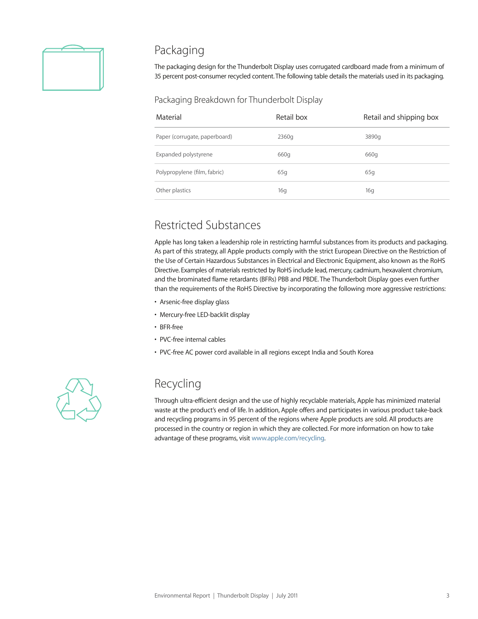

#### Packaging

The packaging design for the Thunderbolt Display uses corrugated cardboard made from a minimum of 35 percent post-consumer recycled content. The following table details the materials used in its packaging.

#### Packaging Breakdown for Thunderbolt Display

| Material                      | Retail box | Retail and shipping box |
|-------------------------------|------------|-------------------------|
| Paper (corrugate, paperboard) | 2360g      | 3890g                   |
| Expanded polystyrene          | 660g       | 660g                    |
| Polypropylene (film, fabric)  | 65q        | 65q                     |
| Other plastics                | 16g        | 16q                     |

### Restricted Substances

Apple has long taken a leadership role in restricting harmful substances from its products and packaging. As part of this strategy, all Apple products comply with the strict European Directive on the Restriction of the Use of Certain Hazardous Substances in Electrical and Electronic Equipment, also known as the RoHS Directive. Examples of materials restricted by RoHS include lead, mercury, cadmium, hexavalent chromium, and the brominated flame retardants (BFRs) PBB and PBDE. The Thunderbolt Display goes even further than the requirements of the RoHS Directive by incorporating the following more aggressive restrictions:

- Arsenic-free display glass
- Mercury-free LED-backlit display
- BFR-free
- PVC-free internal cables
- PVC-free AC power cord available in all regions except India and South Korea



### Recycling

Through ultra-efficient design and the use of highly recyclable materials, Apple has minimized material waste at the product's end of life. In addition, Apple offers and participates in various product take-back and recycling programs in 95 percent of the regions where Apple products are sold. All products are processed in the country or region in which they are collected. For more information on how to take advantage of these programs, visit www.apple.com/recycling.